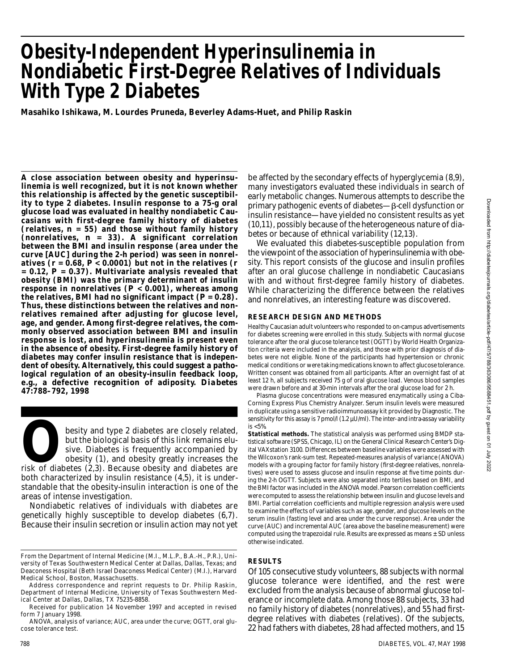# **Obesity-Independent Hyperinsulinemia in Nondiabetic First-Degree Relatives of Individuals With Type 2 Diabetes**

**Masahiko Ishikawa, M. Lourdes Pruneda, Beverley Adams-Huet, and Philip Raskin**

**A close association between obesity and hyperinsulinemia is well recognized, but it is not known whether this relationship is affected by the genetic susceptibility to type 2 diabetes. Insulin response to a 75-g oral glucose load was evaluated in healthy nondiabetic Caucasians with first-degree family history of diabetes (relatives,** *n* **= 55) and those without family history (nonrelatives,** *n* **= 33). A significant correlation between the BMI and insulin response (area under the curve [AUC] during the 2-h period) was seen in nonrelatives (***r* **= 0.68,** *P* **< 0.0001) but not in the relatives (***r* **= 0.12,** *P* **= 0.37). Multivariate analysis revealed that obesity (BMI) was the primary determinant of insulin response in nonrelatives (***P* **< 0.001), whereas among** the relatives, BMI had no significant impact  $(P = 0.28)$ . **Thus, these distinctions between the relatives and nonrelatives remained after adjusting for glucose level, age, and gender. Among first-degree relatives, the commonly observed association between BMI and insulin response is lost, and hyperinsulinemia is present even in the absence of obesity. First-degree family history of diabetes may confer insulin resistance that is independent of obesity. Alternatively, this could suggest a pathological regulation of an obesity-insulin feedback loop,** e.g., a defective recognition of adiposity. Diabetes **47:788–792, 1998**

besity and type 2 diabetes are closely related,<br>but the biological basis of this link remains elu-<br>sive. Diabetes is frequently accompanied by<br>obesity (1), and obesity greatly increases the<br>risk of diabetes (2,3). Because besity and type 2 diabetes are closely related, but the biological basis of this link remains elusive. Diabetes is frequently accompanied by obesity (1), and obesity greatly increases the both characterized by insulin resistance (4,5), it is understandable that the obesity-insulin interaction is one of the areas of intense investigation.

Nondiabetic relatives of individuals with diabetes are genetically highly susceptible to develop diabetes (6,7). Because their insulin secretion or insulin action may not yet

Address correspondence and reprint requests to Dr. Philip Raskin, Department of Internal Medicine, University of Texas Southwestern Medical Center at Dallas, Dallas, TX 75235-8858.

Received for publication 14 November 1997 and accepted in revised form 7 January 1998.

ANOVA, analysis of variance; AUC, area under the curve; OGTT, oral glucose tolerance test.

be affected by the secondary effects of hyperglycemia (8,9), many investigators evaluated these individuals in search of early metabolic changes. Numerous attempts to describe the  $primary$  pathogenic events of diabetes— $\beta$ -cell dysfunction or insulin resistance—have yielded no consistent results as yet (10,11), possibly because of the heterogeneous nature of diabetes or because of ethnical variability (12,13).

We evaluated this diabetes-susceptible population from the viewpoint of the association of hyperinsulinemia with obesity. This report consists of the glucose and insulin profiles after an oral glucose challenge in nondiabetic Caucasians with and without first-degree family history of diabetes. While characterizing the difference between the relatives and nonrelatives, an interesting feature was discovered.

## **RESEARCH DESIGN AND METHODS**

Healthy Caucasian adult volunteers who responded to on-campus advertisements for diabetes screening were enrolled in this study. Subjects with normal glucose tolerance after the oral glucose tolerance test (OGTT) by World Health Organization criteria were included in the analysis, and those with prior diagnosis of diabetes were not eligible. None of the participants had hypertension or chronic medical conditions or were taking medications known to affect glucose tolerance. Written consent was obtained from all participants. After an overnight fast of at least 12 h, all subjects received 75 g of oral glucose load. Venous blood samples were drawn before and at 30-min intervals after the oral glucose load for 2 h.

Plasma glucose concentrations were measured enzymatically using a Ciba-Corning Express Plus Chemistry Analyzer. Serum insulin levels were measured in duplicate using a sensitive radioimmunoassay kit provided by Diagnostic. The sensitivity for this assay is 7 pmol/l (1.2 µU/ml). The inter- and intra-assay variability is <5%.

**Statistical methods.** The statistical analysis was performed using BMDP statistical software (SPSS, Chicago, IL) on the General Clinical Research Center's Digital VAXstation 3100. Differences between baseline variables were assessed with the Wilcoxon's rank-sum test. Repeated-measures analysis of variance (ANOVA) models with a grouping factor for family history (first-degree relatives, nonrelatives) were used to assess glucose and insulin response at five time points during the 2-h OGTT. Subjects were also separated into tertiles based on BMI, and the BMI factor was included in the ANOVA model. Pearson correlation coefficients were computed to assess the relationship between insulin and glucose levels and BMI. Partial correlation coefficients and multiple regression analysis were used to examine the effects of variables such as age, gender, and glucose levels on the serum insulin (fasting level and area under the curve response). Area under the curve (AUC) and incremental AUC (area above the baseline measurement) were computed using the trapezoidal rule. Results are expressed as means ± SD unless otherwise indicated.

## **R E S U LT S**

Of 105 consecutive study volunteers, 88 subjects with normal glucose tolerance were identified, and the rest were excluded from the analysis because of abnormal glucose tolerance or incomplete data. Among those 88 subjects, 33 had no family history of diabetes (nonrelatives), and 55 had firstdegree relatives with diabetes (relatives). Of the subjects, 22 had fathers with diabetes, 28 had affected mothers, and 15

From the Department of Internal Medicine (M.I., M.L.P., B.A.-H., P.R.), University of Texas Southwestern Medical Center at Dallas, Dallas, Texas; and Deaconess Hospital (Beth Israel Deaconess Medical Center) (M.I.), Harvard Medical School, Boston, Massachusetts.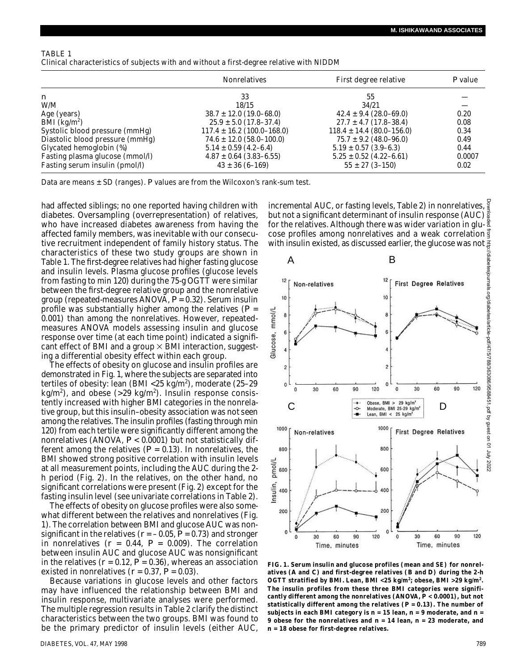| TABLE 1                                                                                  |  |  |
|------------------------------------------------------------------------------------------|--|--|
| Clinical characteristics of subjects with and without a first-degree relative with NIDDM |  |  |

|                                 | <b>Nonrelatives</b>            | First degree relative         | <i>P</i> value |  |
|---------------------------------|--------------------------------|-------------------------------|----------------|--|
| $\boldsymbol{n}$                | 33                             | 55                            |                |  |
| W/M                             | 18/15                          | 34/21                         |                |  |
| Age (years)                     | $38.7 \pm 12.0$ (19.0–68.0)    | $42.4 \pm 9.4 (28.0 - 69.0)$  | 0.20           |  |
| BMI ( $\text{kg/m}^2$ )         | $25.9 \pm 5.0$ (17.8–37.4)     | $27.7 \pm 4.7$ (17.8–38.4)    | 0.08           |  |
| Systolic blood pressure (mmHg)  | $117.4 \pm 16.2$ (100.0–168.0) | $118.4 \pm 14.4$ (80.0–156.0) | 0.34           |  |
| Diastolic blood pressure (mmHg) | $74.6 \pm 12.0$ (58.0–100.0)   | $75.7 \pm 9.2$ (48.0–96.0)    | 0.49           |  |
| Glycated hemoglobin (%)         | $5.14 \pm 0.59$ (4.2–6.4)      | $5.19 \pm 0.57$ (3.9–6.3)     | 0.44           |  |
| Fasting plasma glucose (mmol/l) | $4.87 \pm 0.64$ (3.83–6.55)    | $5.25 \pm 0.52$ (4.22–6.61)   | 0.0007         |  |
| Fasting serum insulin (pmol/l)  | $43 \pm 36 (6 - 169)$          | $55 \pm 27$ (3-150)           | 0.02           |  |

Data are means  $\pm$  SD (ranges). P values are from the Wilcoxon's rank-sum test.

had affected siblings; no one reported having children with diabetes. Oversampling (overrepresentation) of relatives, who have increased diabetes awareness from having the affected family members, was inevitable with our consecutive recruitment independent of family history status. The characteristics of these two study groups are shown in Table 1. The first-degree relatives had higher fasting glucose and insulin levels. Plasma glucose profiles (glucose levels from fasting to min 120) during the 75-g OGTT were similar between the first-degree relative group and the nonrelative group (repeated-measures ANOVA, *P* = 0.32). Serum insulin profile was substantially higher among the relatives (*P* = 0.001) than among the nonrelatives. However, repeatedmeasures ANOVA models assessing insulin and glucose response over time (at each time point) indicated a significant effect of BMI and a group  $\times$  BMI interaction, suggesting a differential obesity effect within each group.

The effects of obesity on glucose and insulin profiles are demonstrated in Fig. 1, where the subjects are separated into tertiles of obesity: lean (BMI <25 kg/m<sup>2</sup>), moderate (25-29 kg/m<sup>2</sup>), and obese (>29 kg/m<sup>2</sup>). Insulin response consistently increased with higher BMI categories in the nonrelative group, but this insulin–obesity association was not seen among the relatives. The insulin profiles (fasting through min 120) from each tertile were significantly different among the nonrelatives (ANOVA, *P* < 0.0001) but not statistically different among the relatives  $(P = 0.13)$ . In nonrelatives, the BMI showed strong positive correlation with insulin levels at all measurement points, including the AUC during the 2 h period (Fig. 2). In the relatives, on the other hand, no significant correlations were present (Fig. 2) except for the fasting insulin level (see univariate correlations in Table 2).

The effects of obesity on glucose profiles were also somewhat different between the relatives and nonrelatives (Fig. 1). The correlation between BMI and glucose AUC was nonsignificant in the relatives ( $r = -0.05$ ,  $P = 0.73$ ) and stronger in nonrelatives  $(r = 0.44, P = 0.009)$ . The correlation between insulin AUC and glucose AUC was nonsignificant in the relatives  $(r = 0.12, P = 0.36)$ , whereas an association existed in nonrelatives ( $r = 0.37$ ,  $P = 0.03$ ).

Because variations in glucose levels and other factors may have influenced the relationship between BMI and insulin response, multivariate analyses were performed. The multiple regression results in Table 2 clarify the distinct characteristics between the two groups. BMI was found to be the primary predictor of insulin levels (either AUC,

incremental AUC, or fasting levels, Table 2) in nonrelatives, but not a significant determinant of insulin response (AUC) for the relatives. Although there was wider variation in glu- $\frac{8}{3}$ cose profiles among nonrelatives and a weak correlation  $\frac{3}{5}$ with insulin existed, as discussed earlier, the glucose was not  $\frac{3}{4}$ 



**FIG. 1. Serum insulin and glucose profiles (mean and SE) for nonrelatives (***A* **and** *C***) and first-degree relatives (***B* **and** *D***) during the 2-h OGTT stratified by BMI. Lean, BMI <25 kg/m<sup>2</sup> ; obese, BMI >29 kg/m<sup>2</sup> . The insulin profiles from these three BMI categories were significantly different among the nonrelatives (ANOVA,** *P* **< 0.0001), but not statistically different among the relatives (***P* **= 0.13). The number of** subjects in each BMI category is  $n = 15$  lean,  $n = 9$  moderate, and  $n =$ **9 obese for the nonrelatives and** *n* **= 14 lean,** *n* **= 23 moderate, and**  *n* **= 18 obese for first-degree relatives.**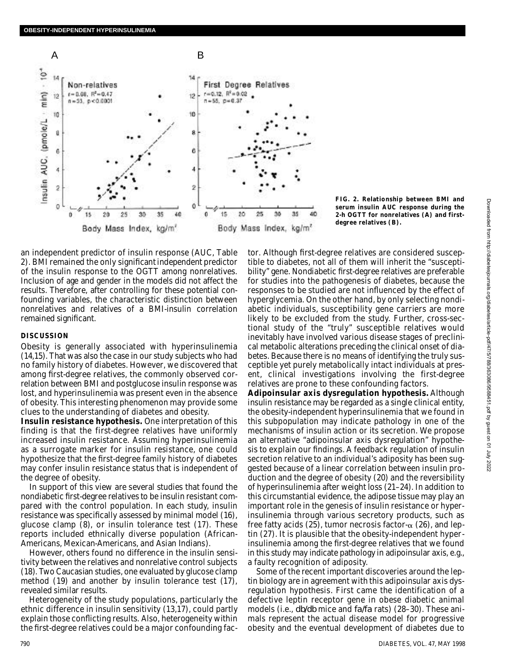

**FIG. 2. Relationship between BMI and serum insulin AUC response during the 2-h OGTT for nonrelatives (***A***) and firstdegree relatives (***B***) .**

an independent predictor of insulin response (AUC, Table 2). BMI remained the only significant independent predictor of the insulin response to the OGTT among nonrelatives. Inclusion of age and gender in the models did not affect the results. Therefore, after controlling for these potential confounding variables, the characteristic distinction between nonrelatives and relatives of a BMI-insulin correlation remained significant.

## **DISCUSSION**

Obesity is generally associated with hyperinsulinemia (14,15). That was also the case in our study subjects who had no family history of diabetes. However, we discovered that among first-degree relatives, the commonly observed correlation between BMI and postglucose insulin response was lost, and hyperinsulinemia was present even in the absence of obesity. This interesting phenomenon may provide some clues to the understanding of diabetes and obesity.

**Insulin resistance hypothesis.** One interpretation of this finding is that the first-degree relatives have uniformly increased insulin resistance. Assuming hyperinsulinemia as a surrogate marker for insulin resistance, one could hypothesize that the first-degree family history of diabetes may confer insulin resistance status that is independent of the degree of obesity.

In support of this view are several studies that found the nondiabetic first-degree relatives to be insulin resistant compared with the control population. In each study, insulin resistance was specifically assessed by minimal model (16), glucose clamp (8), or insulin tolerance test (17). These reports included ethnically diverse population (African-Americans, Mexican-Americans, and Asian Indians).

However, others found no difference in the insulin sensitivity between the relatives and nonrelative control subjects (18). Two Caucasian studies, one evaluated by glucose clamp method (19) and another by insulin tolerance test (17), revealed similar results.

Heterogeneity of the study populations, particularly the ethnic difference in insulin sensitivity (13,17), could partly explain those conflicting results. Also, heterogeneity within the first-degree relatives could be a major confounding factor. Although first-degree relatives are considered susceptible to diabetes, not all of them will inherit the "susceptibility" gene. Nondiabetic first-degree relatives are preferable for studies into the pathogenesis of diabetes, because the responses to be studied are not influenced by the effect of hyperglycemia. On the other hand, by only selecting nondiabetic individuals, susceptibility gene carriers are more likely to be excluded from the study. Further, cross-sectional study of the "truly" susceptible relatives would inevitably have involved various disease stages of preclinical metabolic alterations preceding the clinical onset of diabetes. Because there is no means of identifying the truly susceptible yet purely metabolically intact individuals at present, clinical investigations involving the first-degree relatives are prone to these confounding factors.

**Adipoinsular axis dysregulation hypothesis.** Although insulin resistance may be regarded as a single clinical entity, the obesity-independent hyperinsulinemia that we found in this subpopulation may indicate pathology in one of the mechanisms of insulin action or its secretion. We propose an alternative "adipoinsular axis dysregulation" hypothesis to explain our findings. A feedback regulation of insulin secretion relative to an individual's adiposity has been suggested because of a linear correlation between insulin production and the degree of obesity (20) and the reversibility of hyperinsulinemia after weight loss (21–24). In addition to this circumstantial evidence, the adipose tissue may play an important role in the genesis of insulin resistance or hyperinsulinemia through various secretory products, such as free fatty acids (25), tumor necrosis factor- $\alpha$  (26), and leptin (27). It is plausible that the obesity-independent hyperinsulinemia among the first-degree relatives that we found in this study may indicate pathology in adipoinsular axis, e.g., a faulty recognition of adiposity.

Some of the recent important discoveries around the leptin biology are in agreement with this adipoinsular axis dysregulation hypothesis. First came the identification of a defective leptin receptor gene in obese diabetic animal models (i.e., *db/db* mice and *fa/fa* rats) (28–30). These animals represent the actual disease model for progressive obesity and the eventual development of diabetes due to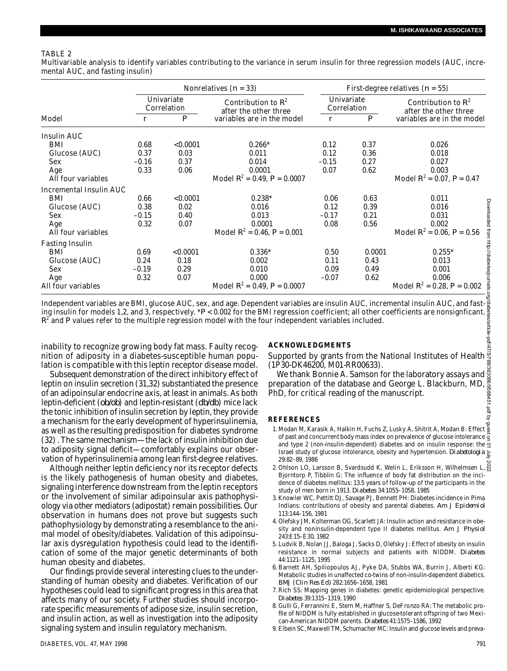## TABLE 2

Multivariable analysis to identify variables contributing to the variance in serum insulin for three regression models (AUC, incremental AUC, and fasting insulin)

|                                                                                                                                                                                                                           |                | Nonrelatives $(n = 33)$                        |                                                |                                                                            | First-degree relatives $(n = 55)$ |                  |                                                                                                                                                                                                                                                                                   |  |
|---------------------------------------------------------------------------------------------------------------------------------------------------------------------------------------------------------------------------|----------------|------------------------------------------------|------------------------------------------------|----------------------------------------------------------------------------|-----------------------------------|------------------|-----------------------------------------------------------------------------------------------------------------------------------------------------------------------------------------------------------------------------------------------------------------------------------|--|
|                                                                                                                                                                                                                           |                | Univariate<br>Correlation                      | Contribution to $R^2$<br>after the other three |                                                                            | Univariate<br>Correlation         |                  | Contribution to $R^2$<br>after the other three                                                                                                                                                                                                                                    |  |
| Model                                                                                                                                                                                                                     | $\mathfrak{r}$ | $\boldsymbol{P}$<br>variables are in the model |                                                | $\mathbf{r}$                                                               |                                   | $\boldsymbol{P}$ | variables are in the model                                                                                                                                                                                                                                                        |  |
| Insulin AUC                                                                                                                                                                                                               |                |                                                |                                                |                                                                            |                                   |                  |                                                                                                                                                                                                                                                                                   |  |
| BMI                                                                                                                                                                                                                       | 0.68           | < 0.0001                                       |                                                | $0.266*$                                                                   |                                   | 0.37             | 0.026                                                                                                                                                                                                                                                                             |  |
| Glucose (AUC)                                                                                                                                                                                                             | 0.37           | 0.03                                           | 0.011                                          |                                                                            | 0.12<br>0.12                      | 0.36             | 0.018                                                                                                                                                                                                                                                                             |  |
| Sex                                                                                                                                                                                                                       | $-0.16$        | 0.37                                           | 0.014                                          |                                                                            | $-0.15$                           | 0.27             | 0.027                                                                                                                                                                                                                                                                             |  |
| Age                                                                                                                                                                                                                       | 0.33           | 0.06                                           | 0.0001                                         |                                                                            | 0.07                              | 0.62             | 0.003                                                                                                                                                                                                                                                                             |  |
| All four variables                                                                                                                                                                                                        |                |                                                | Model $R^2$ = 0.49, $P$ = 0.0007               |                                                                            |                                   |                  | Model $R^2$ = 0.07, $P$ = 0.47                                                                                                                                                                                                                                                    |  |
| Incremental Insulin AUC                                                                                                                                                                                                   |                |                                                |                                                |                                                                            |                                   |                  |                                                                                                                                                                                                                                                                                   |  |
| BMI                                                                                                                                                                                                                       | 0.66           | < 0.0001                                       | $0.238*$                                       |                                                                            | 0.06                              | 0.63             | 0.011                                                                                                                                                                                                                                                                             |  |
| Glucose (AUC)                                                                                                                                                                                                             | 0.38           | 0.02                                           | 0.016                                          |                                                                            | 0.12                              | 0.39             | 0.016                                                                                                                                                                                                                                                                             |  |
| Sex                                                                                                                                                                                                                       | $-0.15$        | 0.40                                           | 0.013                                          |                                                                            | $-0.17$                           | 0.21             | 0.031                                                                                                                                                                                                                                                                             |  |
| Age                                                                                                                                                                                                                       | 0.32           | 0.07                                           | 0.0001                                         |                                                                            | 0.08                              | 0.56             | 0.002                                                                                                                                                                                                                                                                             |  |
| All four variables                                                                                                                                                                                                        |                |                                                | Model $R^2$ = 0.46, $P$ = 0.001                |                                                                            |                                   |                  | Model $R^2$ = 0.06, $P$ = 0.56                                                                                                                                                                                                                                                    |  |
| <b>Fasting Insulin</b>                                                                                                                                                                                                    |                |                                                |                                                |                                                                            |                                   |                  |                                                                                                                                                                                                                                                                                   |  |
| BMI                                                                                                                                                                                                                       | 0.69           | < 0.0001                                       | $0.336*$                                       |                                                                            | 0.50                              | 0.0001           | $0.255*$                                                                                                                                                                                                                                                                          |  |
| Glucose (AUC)                                                                                                                                                                                                             | 0.24           | 0.18                                           | 0.002                                          |                                                                            | 0.11                              | 0.43             | 0.013                                                                                                                                                                                                                                                                             |  |
| Sex                                                                                                                                                                                                                       | $-0.19$        | 0.29                                           | 0.010                                          |                                                                            | 0.09                              | 0.49             | 0.001                                                                                                                                                                                                                                                                             |  |
| Age                                                                                                                                                                                                                       | 0.32           | 0.07                                           | 0.000                                          |                                                                            | $-0.07$                           | 0.62             | 0.006                                                                                                                                                                                                                                                                             |  |
| All four variables                                                                                                                                                                                                        |                |                                                | Model $R^2$ = 0.49, $P$ = 0.0007               |                                                                            |                                   |                  | Model $R^2 = 0.28$ , $P = 0.002$                                                                                                                                                                                                                                                  |  |
| $R^2$ and P values refer to the multiple regression model with the four independent variables included.<br>inability to recognize growing body fat mass. Faulty recog-                                                    |                |                                                |                                                | <b>ACKNOWLEDGMENTS</b>                                                     |                                   |                  | Independent variables are BMI, glucose AUC, sex, and age. Dependent variables are insulin AUC, incremental insulin AUC, and fast-<br>ing insulin for models 1,2, and 3, respectively. * $P < 0.002$ for the BMI regression coefficient; all other coefficients are nonsignficant. |  |
| nition of adiposity in a diabetes-susceptible human popu-                                                                                                                                                                 |                |                                                |                                                |                                                                            |                                   |                  | Supported by grants from the National Institutes of Health $\frac{3}{5}$                                                                                                                                                                                                          |  |
|                                                                                                                                                                                                                           |                |                                                |                                                |                                                                            |                                   |                  |                                                                                                                                                                                                                                                                                   |  |
| lation is compatible with this leptin receptor disease model.<br>(1P30-DK46200, M01-RR00633).<br>Subsequent demonstration of the direct inhibitory effect of<br>We thank Bonnie A. Samson for the laboratory assays and & |                |                                                |                                                |                                                                            |                                   |                  |                                                                                                                                                                                                                                                                                   |  |
| preparation of the database and George L. Blackburn, MD,<br>leptin on insulin secretion (31,32) substantiated the presence                                                                                                |                |                                                |                                                |                                                                            |                                   |                  |                                                                                                                                                                                                                                                                                   |  |
| of an adipoinsular endocrine axis, at least in animals. As both                                                                                                                                                           |                |                                                |                                                | PhD, for critical reading of the manuscript.                               |                                   |                  |                                                                                                                                                                                                                                                                                   |  |
| leptin-deficient (ob/ob) and leptin-resistant (db/db) mice lack                                                                                                                                                           |                |                                                |                                                |                                                                            |                                   |                  |                                                                                                                                                                                                                                                                                   |  |
| the tonic inhibition of insulin secretion by leptin, they provide                                                                                                                                                         |                |                                                |                                                |                                                                            |                                   |                  |                                                                                                                                                                                                                                                                                   |  |
|                                                                                                                                                                                                                           |                |                                                |                                                | <b>REFERENCES</b>                                                          |                                   |                  |                                                                                                                                                                                                                                                                                   |  |
| a mechanism for the early development of hyperinsulinemia,                                                                                                                                                                |                |                                                |                                                |                                                                            |                                   |                  | 1. Modan M, Karasik A, Halkin H, Fuchs Z, Lusky A, Shitrit A, Modan B: Effect m                                                                                                                                                                                                   |  |
| as well as the resulting predisposition for diabetes syndrome                                                                                                                                                             |                |                                                |                                                |                                                                            |                                   |                  | of past and concurrent body mass index on prevalence of glucose intolerance of                                                                                                                                                                                                    |  |
| (32). The same mechanism—the lack of insulin inhibition due                                                                                                                                                               |                |                                                |                                                |                                                                            |                                   |                  | and type 2 (non-insulin-dependent) diabetes and on insulin response: the                                                                                                                                                                                                          |  |
| to adiposity signal deficit-comfortably explains our obser-                                                                                                                                                               |                |                                                |                                                |                                                                            |                                   |                  | Israel study of glucose intolerance, obesity and hypertension. Diabetologia &                                                                                                                                                                                                     |  |
| vation of hyperinsulinemia among lean first-degree relatives.                                                                                                                                                             |                |                                                |                                                | 29:82-89, 1986                                                             |                                   |                  |                                                                                                                                                                                                                                                                                   |  |
| Although neither leptin deficiency nor its receptor defects                                                                                                                                                               |                |                                                |                                                | 2. Ohlson LO, Larsson B, Svardsudd K, Welin L, Eriksson H, Wilhelmsen L, S |                                   |                  |                                                                                                                                                                                                                                                                                   |  |

Although neither leptin deficiency nor its receptor defects is the likely pathogenesis of human obesity and diabetes, signaling interference downstream from the leptin receptors or the involvement of similar adipoinsular axis pathophysiology via other mediators (adipostat) remain possibilities. Our observation in humans does not prove but suggests such pathophysiology by demonstrating a resemblance to the animal model of obesity/diabetes. Validation of this adipoinsular axis dysregulation hypothesis could lead to the identification of some of the major genetic determinants of both human obesity and diabetes.

Our findings provide several interesting clues to the understanding of human obesity and diabetes. Verification of our hypotheses could lead to significant progress in this area that affects many of our society. Further studies should incorporate specific measurements of adipose size, insulin secretion, and insulin action, as well as investigation into the adiposity signaling system and insulin regulatory mechanism.

### **A C K N O W L E D G M E N T S**

#### **R E F E R E N C E S**

- 1. Modan M, Karasik A, Halkin H, Fuchs Z, Lusky A, Shitrit A, Modan B: Effect  $\frac{5}{9}$ of past and concurrent body mass index on prevalence of glucose intolerance  $\frac{3}{9}$ and type 2 (non-insulin-dependent) diabetes and on insulin response: the  $\frac{3}{5}$ Israel study of glucose intolerance, obesity and hypertension. *Diabetologia*  $\epsilon$ 29:82–89, 1986
- 2. Ohlson LO, Larsson B, Svardsudd K, Welin L, Eriksson H, Wilhelmsen L, & Bjorntorp P, Tibblin G: The influence of body fat distribution on the incidence of diabetes mellitus: 13.5 years of follow-up of the participants in the study of men born in 1913. *Diabetes* 34:1055–1058, 1985
- 3 .Knowler WC, Pettitt DJ, Savage PJ, Bennett PH: Diabetes incidence in Pima Indians: contributions of obesity and parental diabetes. *Am J Epidemiol* 113:144–156, 1981
- 4 . Olefsky JM, Kolterman OG, Scarlett JA: Insulin action and resistance in obesity and noninsulin-dependent type II diabetes mellitus. *Am J Physiol* 243:E15–E30, 1982
- 5 . Ludvik B, Nolan JJ, Baloga J, Sacks D, Olefsky J: Effect of obesity on insulin resistance in normal subjects and patients with NIDDM. Diabetes 44:1121–1125, 1995
- 6 . Barnett AH, Spiliopoulos AJ, Pyke DA, Stubbs WA, Burrin J, Alberti KG: Metabolic studies in unaffected co-twins of non-insulin-dependent diabetics. *BMJ (Clin Res Ed)* 282:1656–1658, 1981
- 7 . Rich SS: Mapping genes in diabetes: genetic epidemiological perspective. *D i a b e t e s* 39:1315–1319, 1990
- 8 . Gulli G, Ferrannini E, Stern M, Haffner S, DeFronzo RA: The metabolic profile of NIDDM is fully established in glucose-tolerant offspring of two Mexican-American NIDDM parents. *Diabetes* 41:1575-1586, 1992
- 9 . Elbein SC, Maxwell TM, Schumacher MC: Insulin and glucose levels and preva-